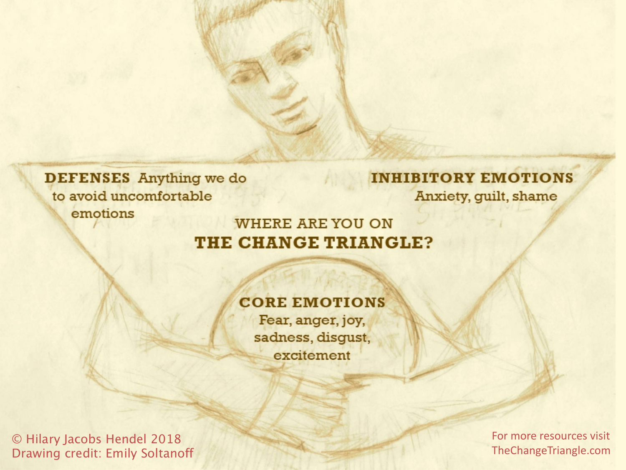**DEFENSES** Anything we do to avoid uncomfortable emotions

#### **INHIBITORY EMOTIONS** Anxiety, guilt, shame

#### **WHERE ARE YOU ON** THE CHANGE TRIANGLE?

**CORE EMOTIONS** 

Fear, anger, joy, sadness, disgust, excitement

© Hilary Jacobs Hendel 2018 Drawing credit: Emily Soltanoff For more resources visit TheChangeTriangle.com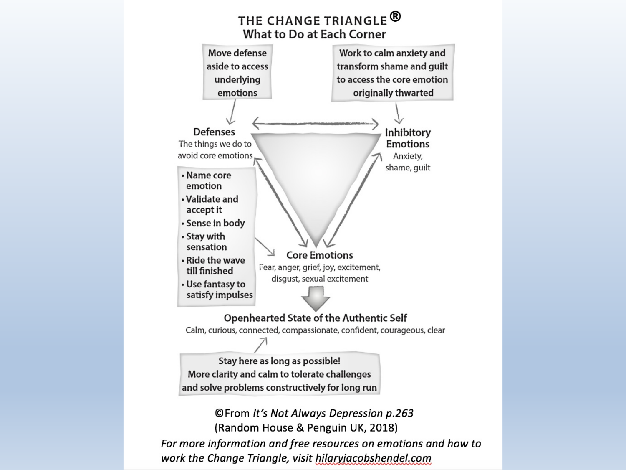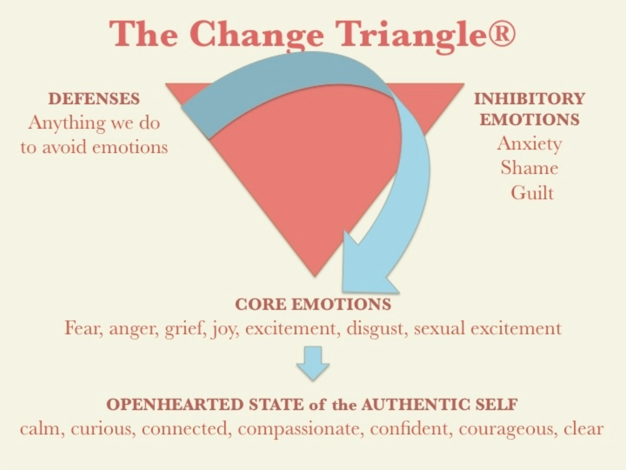# **The Change Triangle**®

**DEFENSES** Anything we do to avoid emotions **INHIBITORY EMOTIONS** Anxiety Shame Guilt

### **CORE EMOTIONS**

Fear, anger, grief, joy, excitement, disgust, sexual excitement

### **OPENHEARTED STATE of the AUTHENTIC SELF**

calm, curious, connected, compassionate, confident, courageous, clear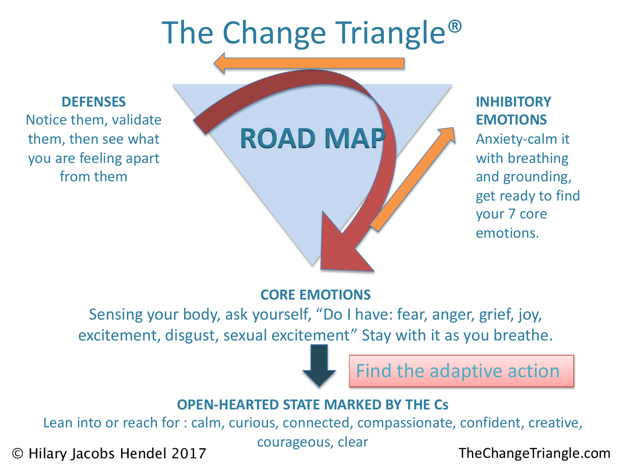# The Change Triangle®

**DEFENSES** Notice them, validate them, then see what you are feeling apart from them



#### **INHIBITORY EMOTIONS**

Anxiety-calm it with breathing and grounding, get ready to find your 7 core emotions.

#### **CORE EMOTIONS**

Sensing your body, ask yourself, "Do I have: fear, anger, grief, joy, excitement, disgust, sexual excitement" Stay with it as you breathe.

Find the adaptive action

#### **OPEN-HEARTED STATE MARKED BY THE Cs**

Lean into or reach for : calm, curious, connected, compassionate, confident, creative,

courageous, clear

© Hilary Jacobs Hendel 2017 TheChangeTriangle.com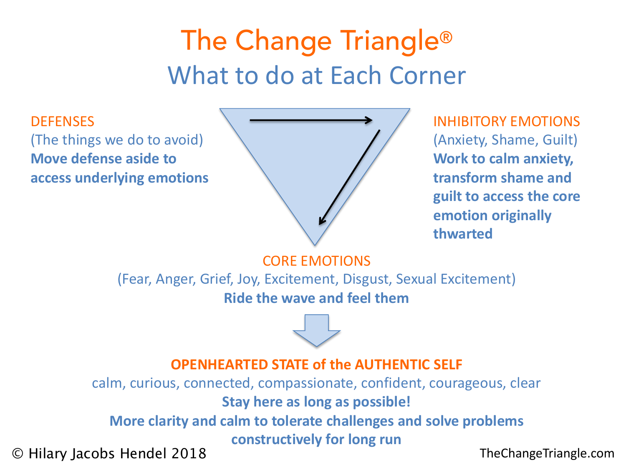## The Change Triangle® What to do at Each Corner

**DEFENSES** (The things we do to avoid) **Move defense aside to access underlying emotions**



INHIBITORY EMOTIONS (Anxiety, Shame, Guilt) **Work to calm anxiety, transform shame and guilt to access the core emotion originally thwarted**

CORE EMOTIONS

(Fear, Anger, Grief, Joy, Excitement, Disgust, Sexual Excitement) **Ride the wave and feel them**

#### **OPENHEARTED STATE of the AUTHENTIC SELF**

calm, curious, connected, compassionate, confident, courageous, clear **Stay here as long as possible! More clarity and calm to tolerate challenges and solve problems constructively for long run** © Hilary Jacobs Hendel 2018 TheChangeTriangle.com